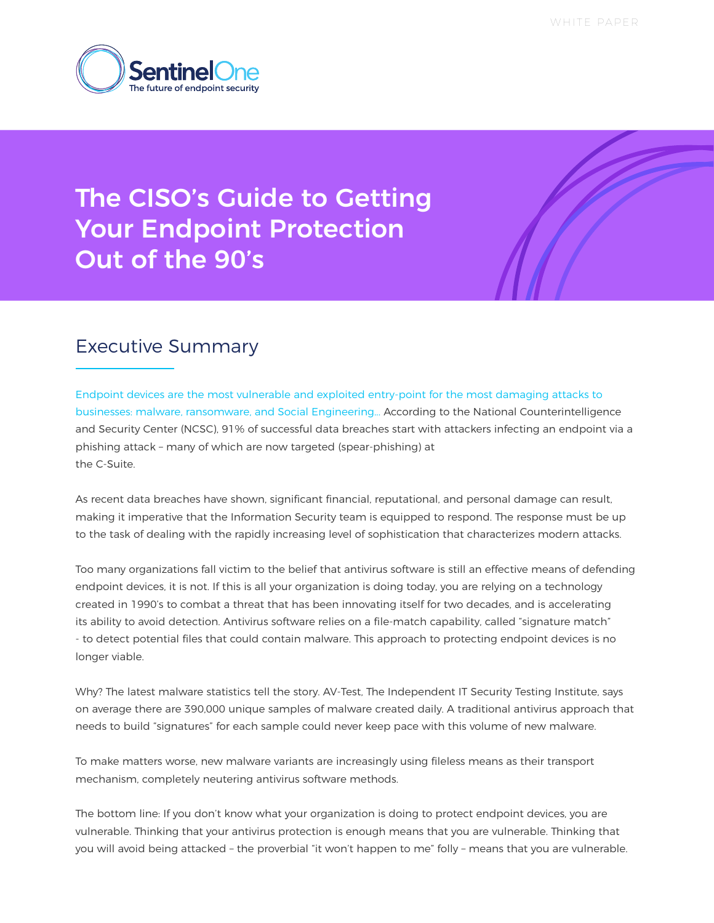WHITE PAPER



# The CISO's Guide to Getting Your Endpoint Protection Out of the 90's

### Executive Summary

Endpoint devices are the most vulnerable and exploited entry-point for the most damaging attacks to businesses: malware, ransomware, and Social Engineering... According to the National Counterintelligence and Security Center (NCSC), 91% of successful data breaches start with attackers infecting an endpoint via a phishing attack – many of which are now targeted (spear-phishing) at the C-Suite.

As recent data breaches have shown, significant financial, reputational, and personal damage can result, making it imperative that the Information Security team is equipped to respond. The response must be up to the task of dealing with the rapidly increasing level of sophistication that characterizes modern attacks.

Too many organizations fall victim to the belief that antivirus software is still an effective means of defending endpoint devices, it is not. If this is all your organization is doing today, you are relying on a technology created in 1990's to combat a threat that has been innovating itself for two decades, and is accelerating its ability to avoid detection. Antivirus software relies on a file-match capability, called "signature match" - to detect potential files that could contain malware. This approach to protecting endpoint devices is no longer viable.

Why? The latest malware statistics tell the story. AV-Test, The Independent IT Security Testing Institute, says on average there are 390,000 unique samples of malware created daily. A traditional antivirus approach that needs to build "signatures" for each sample could never keep pace with this volume of new malware.

To make matters worse, new malware variants are increasingly using fileless means as their transport mechanism, completely neutering antivirus software methods.

The bottom line: If you don't know what your organization is doing to protect endpoint devices, you are vulnerable. Thinking that your antivirus protection is enough means that you are vulnerable. Thinking that you will avoid being attacked – the proverbial "it won't happen to me" folly – means that you are vulnerable.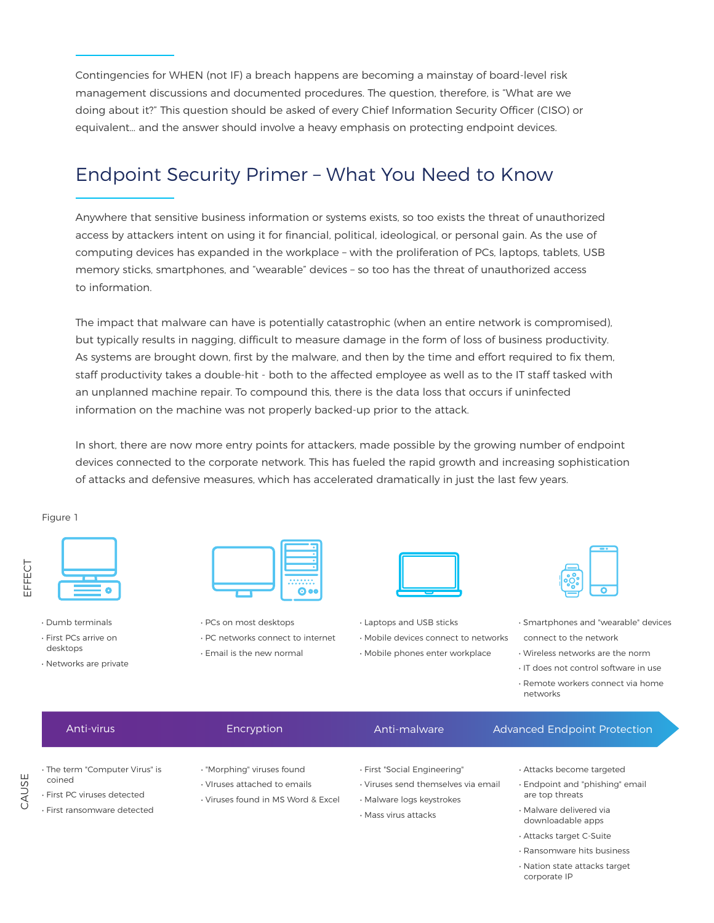Contingencies for WHEN (not IF) a breach happens are becoming a mainstay of board-level risk management discussions and documented procedures. The question, therefore, is "What are we doing about it?" This question should be asked of every Chief Information Security Officer (CISO) or equivalent… and the answer should involve a heavy emphasis on protecting endpoint devices.

### Endpoint Security Primer – What You Need to Know

Anywhere that sensitive business information or systems exists, so too exists the threat of unauthorized access by attackers intent on using it for financial, political, ideological, or personal gain. As the use of computing devices has expanded in the workplace – with the proliferation of PCs, laptops, tablets, USB memory sticks, smartphones, and "wearable" devices – so too has the threat of unauthorized access to information.

The impact that malware can have is potentially catastrophic (when an entire network is compromised), but typically results in nagging, difficult to measure damage in the form of loss of business productivity. As systems are brought down, first by the malware, and then by the time and effort required to fix them, staff productivity takes a double-hit - both to the affected employee as well as to the IT staff tasked with an unplanned machine repair. To compound this, there is the data loss that occurs if uninfected information on the machine was not properly backed-up prior to the attack.

In short, there are now more entry points for attackers, made possible by the growing number of endpoint devices connected to the corporate network. This has fueled the rapid growth and increasing sophistication of attacks and defensive measures, which has accelerated dramatically in just the last few years.

#### Figure 1

| L |  |
|---|--|
| Ų |  |
|   |  |
|   |  |
|   |  |

CAUSE

- 
- Dumb terminals
- First PCs arrive on desktops
- Networks are private



- PCs on most desktops • PC networks connect to internet
- Email is the new normal



- Laptops and USB sticks • Mobile devices connect to networks
- Mobile phones enter workplace



- Smartphones and "wearable" devices connect to the network
- Wireless networks are the norm
- IT does not control software in use
- Remote workers connect via home networks

| Anti-virus                                                                                             | Encryption                                                                                       | Anti-malware                                                                                                             | <b>Advanced Endpoint Protection</b>                                                                                           |
|--------------------------------------------------------------------------------------------------------|--------------------------------------------------------------------------------------------------|--------------------------------------------------------------------------------------------------------------------------|-------------------------------------------------------------------------------------------------------------------------------|
| · The term "Computer Virus" is<br>coined<br>. First PC viruses detected<br>· First ransomware detected | · "Morphing" viruses found<br>· Viruses attached to emails<br>. Viruses found in MS Word & Excel | · First "Social Engineering"<br>· Viruses send themselves via email<br>· Malware logs keystrokes<br>· Mass virus attacks | Attacks become targeted<br>· Endpoint and "phishing" email<br>are top threats<br>· Malware delivered via<br>downloadable apps |

- Attacks target C-Suite
- Ransomware hits business
- Nation state attacks target corporate IP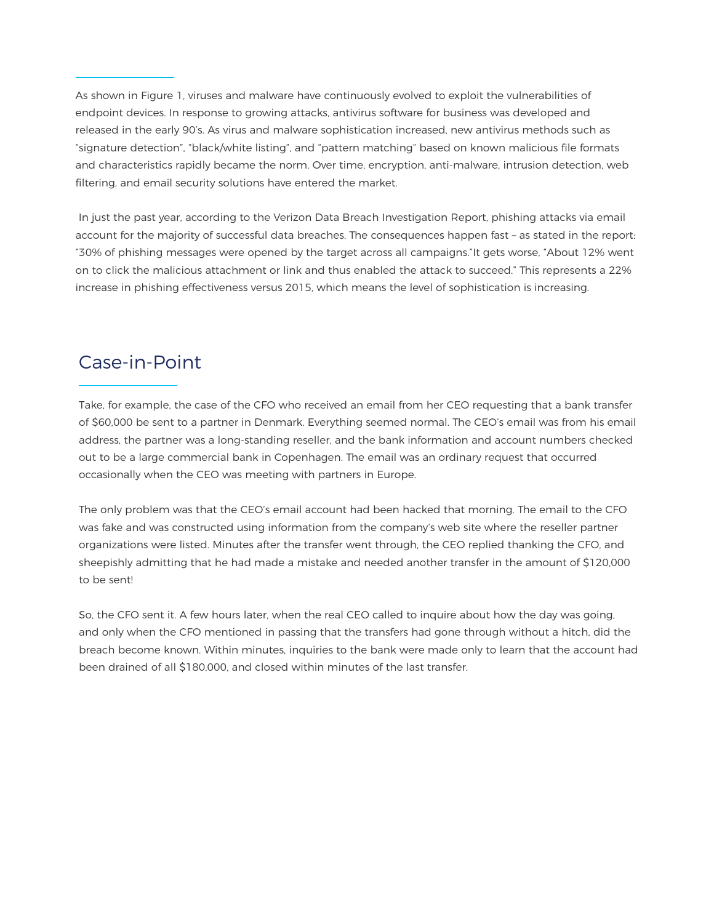As shown in Figure 1, viruses and malware have continuously evolved to exploit the vulnerabilities of endpoint devices. In response to growing attacks, antivirus software for business was developed and released in the early 90's. As virus and malware sophistication increased, new antivirus methods such as "signature detection", "black/white listing", and "pattern matching" based on known malicious file formats and characteristics rapidly became the norm. Over time, encryption, anti-malware, intrusion detection, web filtering, and email security solutions have entered the market.

 In just the past year, according to the Verizon Data Breach Investigation Report, phishing attacks via email account for the majority of successful data breaches. The consequences happen fast – as stated in the report: "30% of phishing messages were opened by the target across all campaigns."It gets worse, "About 12% went on to click the malicious attachment or link and thus enabled the attack to succeed." This represents a 22% increase in phishing effectiveness versus 2015, which means the level of sophistication is increasing.

### Case-in-Point

Take, for example, the case of the CFO who received an email from her CEO requesting that a bank transfer of \$60,000 be sent to a partner in Denmark. Everything seemed normal. The CEO's email was from his email address, the partner was a long-standing reseller, and the bank information and account numbers checked out to be a large commercial bank in Copenhagen. The email was an ordinary request that occurred occasionally when the CEO was meeting with partners in Europe.

The only problem was that the CEO's email account had been hacked that morning. The email to the CFO was fake and was constructed using information from the company's web site where the reseller partner organizations were listed. Minutes after the transfer went through, the CEO replied thanking the CFO, and sheepishly admitting that he had made a mistake and needed another transfer in the amount of \$120,000 to be sent!

So, the CFO sent it. A few hours later, when the real CEO called to inquire about how the day was going, and only when the CFO mentioned in passing that the transfers had gone through without a hitch, did the breach become known. Within minutes, inquiries to the bank were made only to learn that the account had been drained of all \$180,000, and closed within minutes of the last transfer.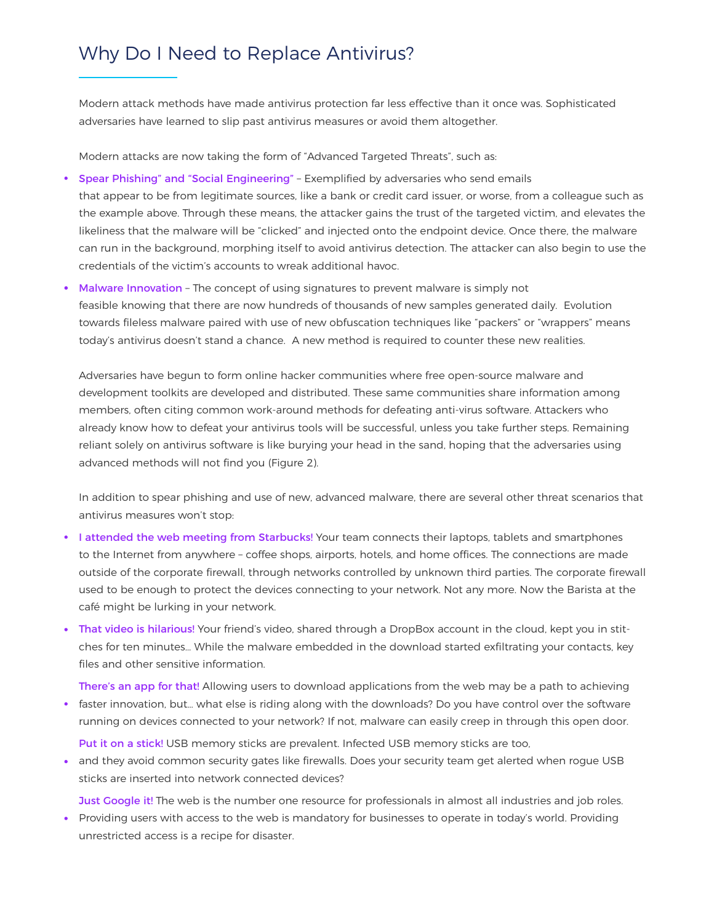### Why Do I Need to Replace Antivirus?

Modern attack methods have made antivirus protection far less effective than it once was. Sophisticated adversaries have learned to slip past antivirus measures or avoid them altogether.

Modern attacks are now taking the form of "Advanced Targeted Threats", such as:

- Spear Phishing" and "Social Engineering" Exemplified by adversaries who send emails that appear to be from legitimate sources, like a bank or credit card issuer, or worse, from a colleague such as the example above. Through these means, the attacker gains the trust of the targeted victim, and elevates the likeliness that the malware will be "clicked" and injected onto the endpoint device. Once there, the malware can run in the background, morphing itself to avoid antivirus detection. The attacker can also begin to use the credentials of the victim's accounts to wreak additional havoc.
- Malware Innovation The concept of using signatures to prevent malware is simply not feasible knowing that there are now hundreds of thousands of new samples generated daily. Evolution towards fileless malware paired with use of new obfuscation techniques like "packers" or "wrappers" means today's antivirus doesn't stand a chance. A new method is required to counter these new realities.

Adversaries have begun to form online hacker communities where free open-source malware and development toolkits are developed and distributed. These same communities share information among members, often citing common work-around methods for defeating anti-virus software. Attackers who already know how to defeat your antivirus tools will be successful, unless you take further steps. Remaining reliant solely on antivirus software is like burying your head in the sand, hoping that the adversaries using advanced methods will not find you (Figure 2).

In addition to spear phishing and use of new, advanced malware, there are several other threat scenarios that antivirus measures won't stop:

- I attended the web meeting from Starbucks! Your team connects their laptops, tablets and smartphones to the Internet from anywhere – coffee shops, airports, hotels, and home offices. The connections are made outside of the corporate firewall, through networks controlled by unknown third parties. The corporate firewall used to be enough to protect the devices connecting to your network. Not any more. Now the Barista at the café might be lurking in your network.
- That video is hilarious! Your friend's video, shared through a DropBox account in the cloud, kept you in stitches for ten minutes… While the malware embedded in the download started exfiltrating your contacts, key files and other sensitive information.

There's an app for that! Allowing users to download applications from the web may be a path to achieving faster innovation, but… what else is riding along with the downloads? Do you have control over the software running on devices connected to your network? If not, malware can easily creep in through this open door.

Put it on a stick! USB memory sticks are prevalent. Infected USB memory sticks are too,

• and they avoid common security gates like firewalls. Does your security team get alerted when rogue USB sticks are inserted into network connected devices?

Just Google it! The web is the number one resource for professionals in almost all industries and job roles.

• Providing users with access to the web is mandatory for businesses to operate in today's world. Providing unrestricted access is a recipe for disaster.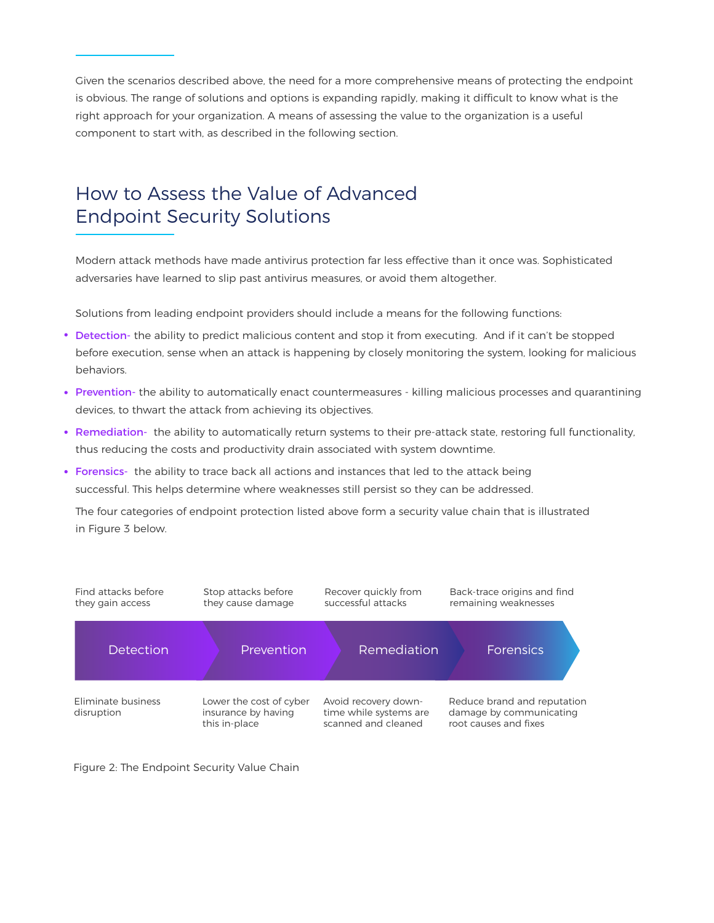Given the scenarios described above, the need for a more comprehensive means of protecting the endpoint is obvious. The range of solutions and options is expanding rapidly, making it difficult to know what is the right approach for your organization. A means of assessing the value to the organization is a useful component to start with, as described in the following section.

## How to Assess the Value of Advanced Endpoint Security Solutions

Modern attack methods have made antivirus protection far less effective than it once was. Sophisticated adversaries have learned to slip past antivirus measures, or avoid them altogether.

Solutions from leading endpoint providers should include a means for the following functions:

- Detection- the ability to predict malicious content and stop it from executing. And if it can't be stopped before execution, sense when an attack is happening by closely monitoring the system, looking for malicious behaviors.
- Prevention- the ability to automatically enact countermeasures killing malicious processes and quarantining devices, to thwart the attack from achieving its objectives.
- Remediation- the ability to automatically return systems to their pre-attack state, restoring full functionality, thus reducing the costs and productivity drain associated with system downtime.
- Forensics- the ability to trace back all actions and instances that led to the attack being successful. This helps determine where weaknesses still persist so they can be addressed.

The four categories of endpoint protection listed above form a security value chain that is illustrated in Figure 3 below.



Figure 2: The Endpoint Security Value Chain